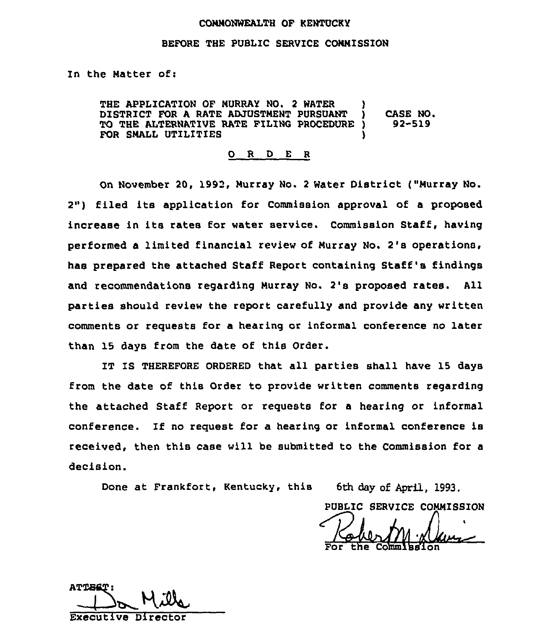#### CONNONWEALTH OF KENTUCKY

#### BEFORE THE PUBLIC SERVICE CONNISSION

In the Natter of:

THE APPLICATION OF MURRAY NO. 2 WATER DISTRICT FOR A RATE ADJUSTMENT PURSUANT TO THE ALTERNATIVE RATE FILING PROCEDURE ) FOR SMALL UTILITIES CASE NO. 92-519

0 R <sup>D</sup> E <sup>R</sup>

On November 20, 1992, Nurray No. <sup>2</sup> Water District ("Nurray No. 2") filed its application for Commission approval of a proposed increase in its rates for water service. Commission Staff, having performed a limited financial review of Nurray No. 2's operations, has prepared the attached Staff Report containing Staff's findings and recommendations regarding Hurray Wo. 2's proposed rates. All parties should review the report carefully and provide any written comments or requests for a hearing or informal conference no later than 15 days from the date of this Order.

IT IS THEREFORE ORDERED that all parties shall have 15 days from the date of this Order to provide written comments regarding the attached Staff Report or requests for a hearing or informal conference. If no request for a hearing or informal conference is received, then this case will be submitted to the Commission for a decision.

Done at Frankfort, Kentucky, this 6th day of April, 1993.<br>PUBLIC SERVICE COMMISS<br>For the Commission For the Commissio

ATTEST: Executive Director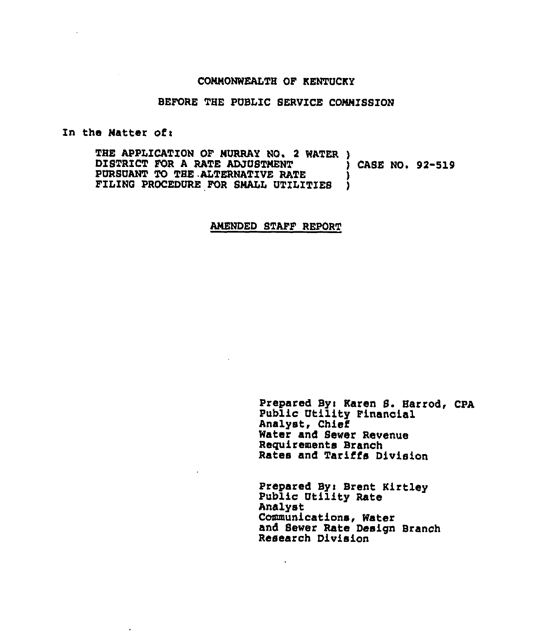#### CONWONWEALTH OF KENTUCKY

### BEFORE THE PUBLIC SERVICE COMNISSION

#### In the Natter of:

 $\overline{a}$ 

THE APPLICATION OF MURRAY NO. 2 WATER )<br>DISTRICT FOR A RATE ADJUSTMENT (CASE NO. 92-519 DISTRICT FOR A RATE ADJUSTMENT  $\begin{array}{c} \texttt{j} \\ \texttt{PURSUM} \end{array}$ PURSUANT TO THE ALTERNATIVE RATE  $\begin{array}{c} \circ \\ \circ \end{array}$  ) FILING PROCEDURE FOR SHALL UTILITIES )

### AMENDED STAFF REPORT

Prepared By: Karen S. Harrod, CPA Public Utility Financial Analyst, Chief Water and Sewer Revenue Requirements Branch Rates and Tariffs Division

Prepared By> Brent Kirtley Public Utility Rate Analyst Communications, Water and Sewer Rate Design Branch Research Division

 $\cdot$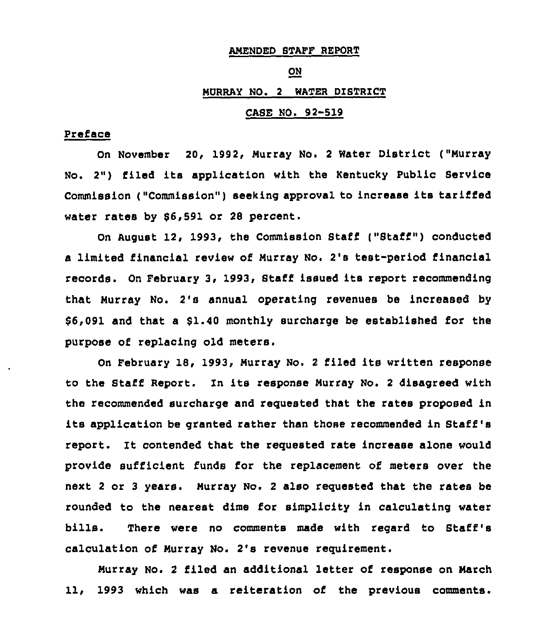### AMENDED STAFF REPORT

#### ON

# HURRAY NO. 2 WATER DISTRICT

## CASE NO. 92-519

### Preface

On November 20, 1992, Murray No. <sup>2</sup> Water District ("Murray No. 2") filed its application with the Kentucky Public Service Commission ("Commission") seeking approval to increase its tariffed water rates by 66,591 or 28 percent.

On August 12, 1993, the Commission Staff ("Staff") conducted a limited financial review of Hurray No. 2's test-period financial records. On February 3< 1993, Staff issued its report recommending that Hurray No. 2's annual operating revenues be increased by 66,091 and that a \$1.40 monthly surcharge be established for the purpose of replacing old meters.

On February 18, 1993, Hurray No. <sup>2</sup> filed its written response to the Staff Report. In its response Murray No. <sup>2</sup> disagreed with the recommended surcharge and requested that the rates proposed in its application be granted rather than those recommended in Staff 's report. It contended that the requested rate increase alone would provide sufficient funds for the replacement of meters over the next <sup>2</sup> or <sup>3</sup> years. Hurray No. <sup>2</sup> also requested that the rates be rounded to the nearest dime for simplicity in calculating water bills. There were no comments made with regard to Staff's calculation of Murray No. 2's revenue requirement.

Murray No. <sup>2</sup> filed an additional letter of response on March 11, 1993 which was a reiteration of the previous comments.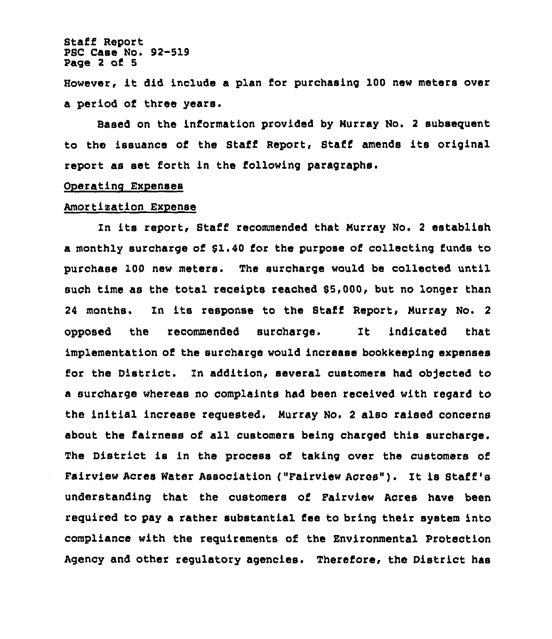Staff Report PSC Case No. 92-519 Page 2 of 5

However, it did include <sup>a</sup> plan for purchasing <sup>100</sup> new meters over a period of three years.

Based on the information provided by Hurray No. 2 subsequent to the issuance of the Staff Report, Staff amends its original report as set forth in the following paragraphs.

### Oneratino Expenses

### Amortisation Expense

In its report, Staff recommended that Hurray No, <sup>2</sup> establish a monthly surcharge of \$1.40 for the purpose of collecting funds to purchase 100 new meters. The surcharge would be collected until such time as the total receipts reached 55 000, but no longer than 24 months. In its response to the Staff Report, Murray No. 2 opposed the recommended surcharge. It indicated that implementation of the surcharge would increase bookkeeping expenses for the District, In addition, several customers had objected to a surcharge whereas no complaints had been received with regard to the initial increase requested. Murray No. <sup>2</sup> also raised concerns about the fairness of all customers being charged this surcharge. The District is in the process of taking over the customers of Fairview Acres Water Association ("Pairview Acres"). It is Staff's understanding that the customers of Fairview Acres have been required to pay a rather substantial fee to bring their system into compliance with the requirements of the Environmental Protection Agency and other regulatory agencies. Therefore, the District has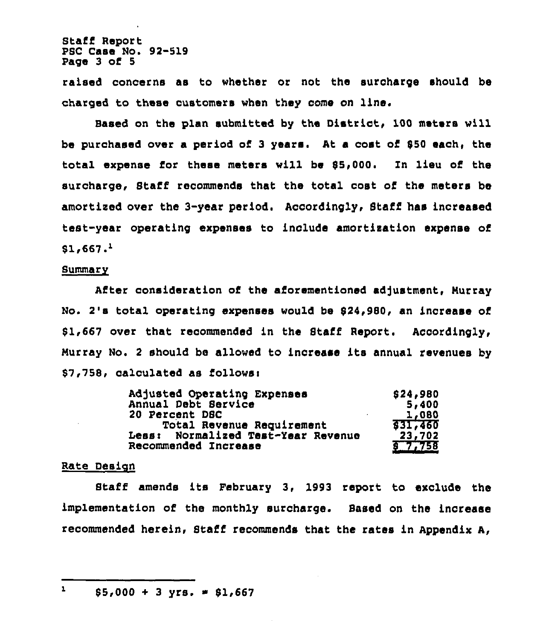Staff Report PSC Case No. 92-519 Page 3 of 5

raised concerns as to whether or not the surcharge should be charged to these customers when they come on line.

Based on the plan submitted by the District, 100 meters will be purchased over a period of 3 years. At a cost of 850 each, the total expense for these meters will be \$5,000. In lieu of the surcharge, Staff recommends that the total oost of the meters be amortized over the 3-year period. Accordingly, Staff has increased teat-year operating expenses to inolude amortization expense of  $$1,667.<sup>1</sup>$ 

#### Summary

After consideration of the aforementioned adjustment, Nurray No. 2's total operating expenses would be \$24,980, an increase of 81,667 over that recommended in the Staff Report. Accordingly, Nurray No. <sup>2</sup> should be allowed to increase its annual revenues by \$7,758, calculated as follows:

| Adjusted Operating Expenses        | \$24,980       |
|------------------------------------|----------------|
| Annual Debt Service                | 5,400          |
| 20 Percent DSC                     | 1,080          |
| Total Revenue Requirement          | <b>831,460</b> |
| Less: Normalized Test-Year Revenue | 23,702         |
| Recommended Increase               | 57.758         |

### Rate Design

Staff amends its February 3, 1993 report to exclude the implementation of the monthly surcharge. Based on the increase recommended herein, Staff recommends that the rates in Appendix A,

 $\mathbf{1}$  $$5,000 + 3$  yrs.  $$1,667$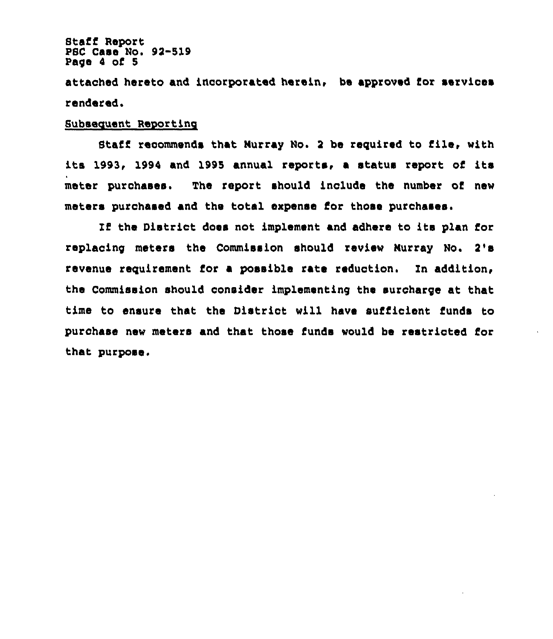Staff Report PSC Case No. 92-519 Page <sup>4</sup> of 5

attached hereto and incorporated herein, be approved for services rendered,

## Subsequent Reporting

Staff recommends that Nurray No. <sup>2</sup> be reguired to file, with its 1993, 1994 and 1995 annual reports, <sup>a</sup> status report of its mater purchases. The report should inolude the number of new meters purchased and the total expense for those purchases.

If the District does not implement and adhere to ite plan for replacing meters the Commission should review Murray No. 2's revenue requirement for a possible rate reduction. In addition, the Commission should consider implementing the surcharge at that time to ensure that the District will have suffioient funds to purchase new meters and that those funds would be restricted for that purpose.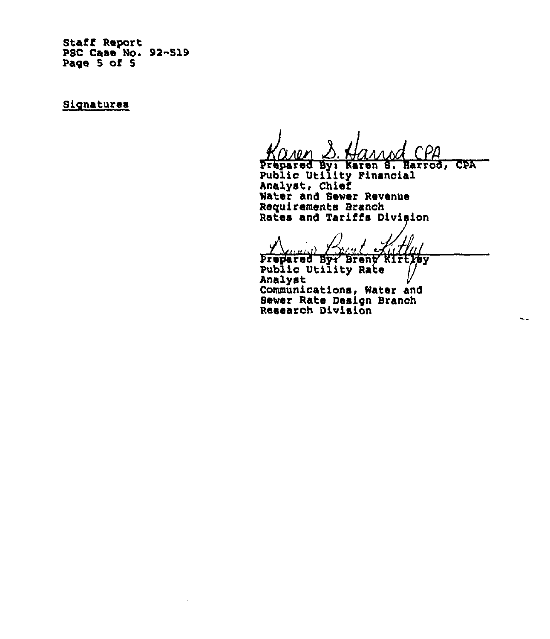Staff RePort PSC Case No. 92-519 Page 5 of 5

Signatures

Prepared By: Karen S. Harrod, CPA

L.

Public Utility Financial Analyst, Chief Water and Sewer Revenue Requirements Branch Rates and Tariffs Division

 $\frac{1}{\sqrt{1+\frac{1}{1+\frac{1}{1+\frac{1}{1+\frac{1}{1+\frac{1}{1+\frac{1}{1+\frac{1}{1+\frac{1}{1+\frac{1}{1+\frac{1}{1+\frac{1}{1+\frac{1}{1+\frac{1}{1+\frac{1}{1+\frac{1}{1+\frac{1}{1+\frac{1}{1+\frac{1}{1+\frac{1}{1+\frac{1}{1+\frac{1}{1+\frac{1}{1+\frac{1}{1+\frac{1}{1+\frac{1}{1+\frac{1}{1+\frac{1}{1+\frac{1}{1+\frac{1}{1+\frac{1}{1+\frac{1}{1+\frac{1}{1+\frac{1}{1+\frac{1}{1+\frac{1}{1+\$ 

prepared Byr Brenn Kirtysy Public Utility Rate Analyst Communications, Water and Sever Rate Design Branch Research Division